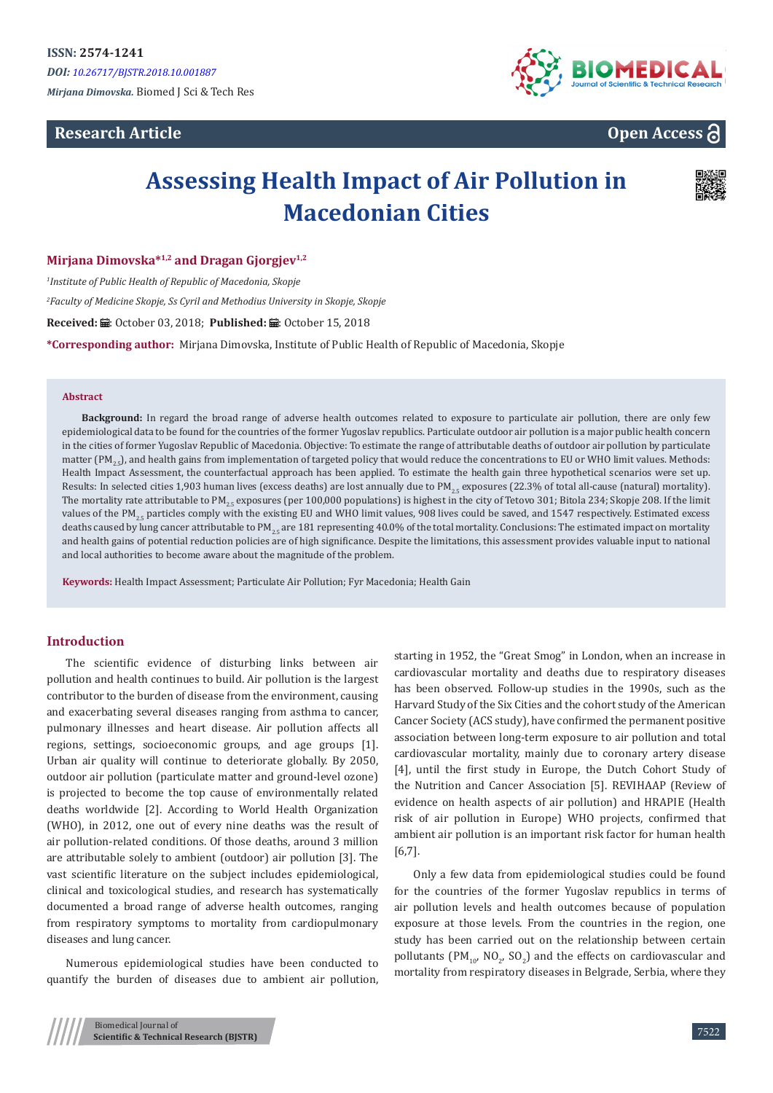**Research Article** 



## **Open Access**

# **Assessing Health Impact of Air Pollution in Macedonian Cities**



#### **Mirjana Dimovska\*1,2 and Dragan Gjorgjev1,2**

*1 Institute of Public Health of Republic of Macedonia, Skopje 2 Faculty of Medicine Skopje, Ss Cyril and Methodius University in Skopje, Skopje* Received: *a* : October 03, 2018; Published: a : October 15, 2018 **\*Corresponding author:** Mirjana Dimovska, Institute of Public Health of Republic of Macedonia, Skopje

#### **Abstract**

**Background:** In regard the broad range of adverse health outcomes related to exposure to particulate air pollution, there are only few epidemiological data to be found for the countries of the former Yugoslav republics. Particulate outdoor air pollution is a major public health concern in the cities of former Yugoslav Republic of Macedonia. Objective: To estimate the range of attributable deaths of outdoor air pollution by particulate matter (PM<sub>2</sub>.), and health gains from implementation of targeted policy that would reduce the concentrations to EU or WHO limit values. Methods: Health Impact Assessment, the counterfactual approach has been applied. To estimate the health gain three hypothetical scenarios were set up. Results: In selected cities 1,903 human lives (excess deaths) are lost annually due to PM<sub>25</sub> exposures (22.3% of total all-cause (natural) mortality). The mortality rate attributable to PM<sub>25</sub> exposures (per 100,000 populations) is highest in the city of Tetovo 301; Bitola 234; Skopje 208. If the limit values of the PM<sub>2r</sub> particles comply with the existing EU and WHO limit values, 908 lives could be saved, and 1547 respectively. Estimated excess deaths caused by lung cancer attributable to PM<sub>25</sub> are 181 representing 40.0% of the total mortality. Conclusions: The estimated impact on mortality and health gains of potential reduction policies are of high significance. Despite the limitations, this assessment provides valuable input to national and local authorities to become aware about the magnitude of the problem.

**Keywords:** Health Impact Assessment; Particulate Air Pollution; Fyr Macedonia; Health Gain

## **Introduction**

The scientific evidence of disturbing links between air pollution and health continues to build. Air pollution is the largest contributor to the burden of disease from the environment, causing and exacerbating several diseases ranging from asthma to cancer, pulmonary illnesses and heart disease. Air pollution affects all regions, settings, socioeconomic groups, and age groups [1]. Urban air quality will continue to deteriorate globally. By 2050, outdoor air pollution (particulate matter and ground-level ozone) is projected to become the top cause of environmentally related deaths worldwide [2]. According to World Health Organization (WHO), in 2012, one out of every nine deaths was the result of air pollution-related conditions. Of those deaths, around 3 million are attributable solely to ambient (outdoor) air pollution [3]. The vast scientific literature on the subject includes epidemiological, clinical and toxicological studies, and research has systematically documented a broad range of adverse health outcomes, ranging from respiratory symptoms to mortality from cardiopulmonary diseases and lung cancer.

Numerous epidemiological studies have been conducted to quantify the burden of diseases due to ambient air pollution, starting in 1952, the "Great Smog" in London, when an increase in cardiovascular mortality and deaths due to respiratory diseases has been observed. Follow-up studies in the 1990s, such as the Harvard Study of the Six Cities and the cohort study of the American Cancer Society (ACS study), have confirmed the permanent positive association between long-term exposure to air pollution and total cardiovascular mortality, mainly due to coronary artery disease [4], until the first study in Europe, the Dutch Cohort Study of the Nutrition and Cancer Association [5]. REVIHAAP (Review of evidence on health aspects of air pollution) and HRAPIE (Health risk of air pollution in Europe) WHO projects, confirmed that ambient air pollution is an important risk factor for human health [6,7].

Only a few data from epidemiological studies could be found for the countries of the former Yugoslav republics in terms of air pollution levels and health outcomes because of population exposure at those levels. From the countries in the region, one study has been carried out on the relationship between certain pollutants (PM<sub>10</sub>, NO<sub>2</sub>, SO<sub>2</sub>) and the effects on cardiovascular and mortality from respiratory diseases in Belgrade, Serbia, where they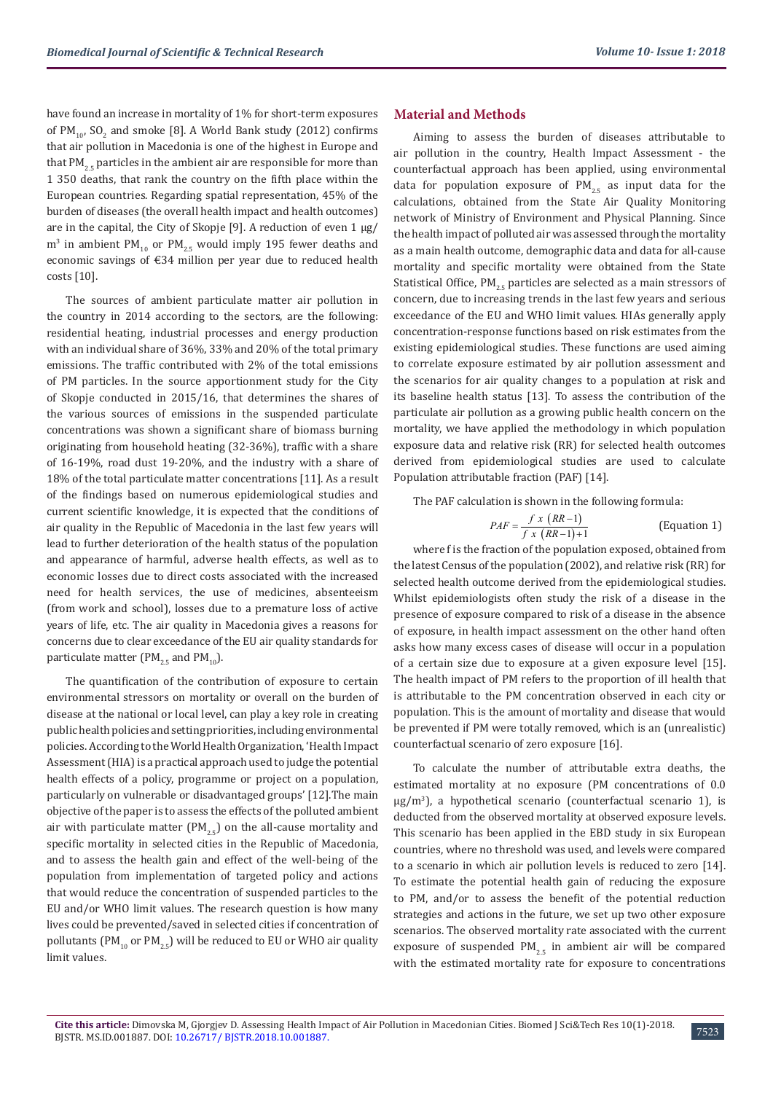have found an increase in mortality of 1% for short-term exposures of  $PM_{10}$ ,  $SO_2$  and smoke [8]. A World Bank study (2012) confirms that air pollution in Macedonia is one of the highest in Europe and that  $PM_{2.5}$  particles in the ambient air are responsible for more than 1 350 deaths, that rank the country on the fifth place within the European countries. Regarding spatial representation, 45% of the burden of diseases (the overall health impact and health outcomes) are in the capital, the City of Skopje [9]. A reduction of even  $1 \mu g$ /  $\rm m^3$  in ambient PM<sub>10</sub> or PM<sub>2.5</sub> would imply 195 fewer deaths and economic savings of €34 million per year due to reduced health costs [10].

The sources of ambient particulate matter air pollution in the country in 2014 according to the sectors, are the following: residential heating, industrial processes and energy production with an individual share of 36%, 33% and 20% of the total primary emissions. The traffic contributed with 2% of the total emissions of PM particles. In the source apportionment study for the City of Skopje conducted in 2015/16, that determines the shares of the various sources of emissions in the suspended particulate concentrations was shown a significant share of biomass burning originating from household heating (32-36%), traffic with a share of 16-19%, road dust 19-20%, and the industry with a share of 18% of the total particulate matter concentrations [11]. As a result of the findings based on numerous epidemiological studies and current scientific knowledge, it is expected that the conditions of air quality in the Republic of Macedonia in the last few years will lead to further deterioration of the health status of the population and appearance of harmful, adverse health effects, as well as to economic losses due to direct costs associated with the increased need for health services, the use of medicines, absenteeism (from work and school), losses due to a premature loss of active years of life, etc. The air quality in Macedonia gives a reasons for concerns due to clear exceedance of the EU air quality standards for particulate matter ( $PM_{25}$  and  $PM_{10}$ ).

The quantification of the contribution of exposure to certain environmental stressors on mortality or overall on the burden of disease at the national or local level, can play a key role in creating public health policies and setting priorities, including environmental policies. According to the World Health Organization, 'Health Impact Assessment (HIA) is a practical approach used to judge the potential health effects of a policy, programme or project on a population, particularly on vulnerable or disadvantaged groups' [12].The main objective of the paper is to assess the effects of the polluted ambient air with particulate matter ( $PM<sub>25</sub>$ ) on the all-cause mortality and specific mortality in selected cities in the Republic of Macedonia, and to assess the health gain and effect of the well-being of the population from implementation of targeted policy and actions that would reduce the concentration of suspended particles to the EU and/or WHO limit values. The research question is how many lives could be prevented/saved in selected cities if concentration of pollutants (PM<sub>10</sub> or PM<sub>25</sub>) will be reduced to EU or WHO air quality limit values.

#### **Material and Methods**

Aiming to assess the burden of diseases attributable to air pollution in the country, Health Impact Assessment - the counterfactual approach has been applied, using environmental data for population exposure of  $PM_{2.5}$  as input data for the calculations, obtained from the State Air Quality Monitoring network of Ministry of Environment and Physical Planning. Since the health impact of polluted air was assessed through the mortality as a main health outcome, demographic data and data for all-cause mortality and specific mortality were obtained from the State Statistical Office,  $PM_{2.5}$  particles are selected as a main stressors of concern, due to increasing trends in the last few years and serious exceedance of the EU and WHO limit values. HIAs generally apply concentration-response functions based on risk estimates from the existing epidemiological studies. These functions are used aiming to correlate exposure estimated by air pollution assessment and the scenarios for air quality changes to a population at risk and its baseline health status [13]. To assess the contribution of the particulate air pollution as a growing public health concern on the mortality, we have applied the methodology in which population exposure data and relative risk (RR) for selected health outcomes derived from epidemiological studies are used to calculate Population attributable fraction (PAF) [14].

The PAF calculation is shown in the following formula:

$$
PAF = \frac{f x (RR-1)}{f x (RR-1) + 1}
$$
 (Equation 1)

where f is the fraction of the population exposed, obtained from the latest Census of the population (2002), and relative risk (RR) for selected health outcome derived from the epidemiological studies. Whilst epidemiologists often study the risk of a disease in the presence of exposure compared to risk of a disease in the absence of exposure, in health impact assessment on the other hand often asks how many excess cases of disease will occur in a population of a certain size due to exposure at a given exposure level [15]. The health impact of PM refers to the proportion of ill health that is attributable to the PM concentration observed in each city or population. This is the amount of mortality and disease that would be prevented if PM were totally removed, which is an (unrealistic) counterfactual scenario of zero exposure [16].

To calculate the number of attributable extra deaths, the estimated mortality at no exposure (PM concentrations of 0.0 μg/m<sup>3</sup> ), a hypothetical scenario (counterfactual scenario 1), is deducted from the observed mortality at observed exposure levels. This scenario has been applied in the EBD study in six European countries, where no threshold was used, and levels were compared to a scenario in which air pollution levels is reduced to zero [14]. To estimate the potential health gain of reducing the exposure to PM, and/or to assess the benefit of the potential reduction strategies and actions in the future, we set up two other exposure scenarios. The observed mortality rate associated with the current exposure of suspended  $PM_{2.5}$  in ambient air will be compared with the estimated mortality rate for exposure to concentrations

7523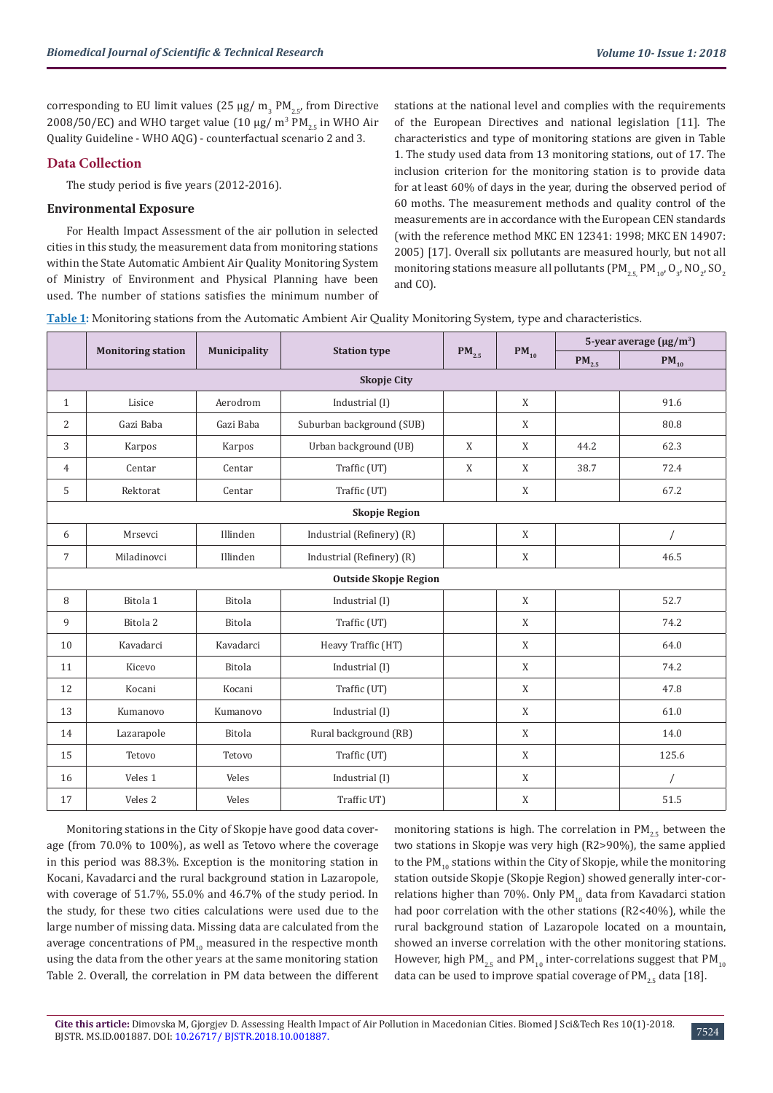corresponding to EU limit values (25  $\mu$ g/ m<sub>3</sub> PM<sub>2.5</sub>, from Directive 2008/50/EC) and WHO target value (10  $\mu$ g/ m<sup>3</sup> PM<sub>2.5</sub> in WHO Air Quality Guideline - WHO AQG) - counterfactual scenario 2 and 3.

## **Data Collection**

The study period is five years (2012-2016).

#### **Environmental Exposure**

For Health Impact Assessment of the air pollution in selected cities in this study, the measurement data from monitoring stations within the State Automatic Ambient Air Quality Monitoring System of Ministry of Environment and Physical Planning have been used. The number of stations satisfies the minimum number of stations at the national level and complies with the requirements of the European Directives and national legislation [11]. The characteristics and type of monitoring stations are given in Table 1. The study used data from 13 monitoring stations, out of 17. The inclusion criterion for the monitoring station is to provide data for at least 60% of days in the year, during the observed period of 60 moths. The measurement methods and quality control of the measurements are in accordance with the European CEN standards (with the reference method MKC EN 12341: 1998; МКС EN 14907: 2005) [17]. Overall six pollutants are measured hourly, but not all monitoring stations measure all pollutants (PM $_{2.5}$ , PM $_{10'}$  O<sub>3</sub>, NO<sub>2</sub>, SO<sub>2</sub> and CO).

**Table 1:** Monitoring stations from the Automatic Ambient Air Quality Monitoring System, type and characteristics.

|                |                           |               |                              |            |              | 5-year average $(\mu g/m^3)$ |           |
|----------------|---------------------------|---------------|------------------------------|------------|--------------|------------------------------|-----------|
|                | <b>Monitoring station</b> | Municipality  | <b>Station type</b>          | $PM_{2.5}$ | $PM_{10}$    | $\mathbf{PM}_{2.5}$          | $PM_{10}$ |
|                |                           |               |                              |            |              |                              |           |
| $\mathbf{1}$   | Lisice                    | Aerodrom      | Industrial (I)               |            | X            |                              | 91.6      |
| 2              | Gazi Baba                 | Gazi Baba     | Suburban background (SUB)    |            | X            |                              | 80.8      |
| 3              | Karpos                    | Karpos        | Urban background (UB)        | X          | X            | 44.2                         | 62.3      |
| $\overline{4}$ | Centar                    | Centar        | Traffic (UT)                 | X          | X            | 38.7                         | 72.4      |
| 5              | Rektorat                  | Centar        | Traffic (UT)                 |            | X            |                              | 67.2      |
|                |                           |               | <b>Skopje Region</b>         |            |              |                              |           |
| 6              | Mrsevci                   | Illinden      | Industrial (Refinery) (R)    |            | X            |                              |           |
| $\overline{7}$ | Miladinovci               | Illinden      | Industrial (Refinery) (R)    |            | $\mathbf{X}$ |                              | 46.5      |
|                |                           |               | <b>Outside Skopje Region</b> |            |              |                              |           |
| 8              | Bitola 1                  | Bitola        | Industrial (I)               |            | X            |                              | 52.7      |
| 9              | Bitola <sub>2</sub>       | Bitola        | Traffic (UT)                 |            | X            |                              | 74.2      |
| 10             | Kavadarci                 | Kavadarci     | Heavy Traffic (HT)           |            | X            |                              | 64.0      |
| 11             | Kicevo                    | <b>Bitola</b> | Industrial (I)               |            | X            |                              | 74.2      |
| 12             | Kocani                    | Kocani        | Traffic (UT)                 |            | X            |                              | 47.8      |
| 13             | Kumanovo                  | Kumanovo      | Industrial (I)               |            | X            |                              | 61.0      |
| 14             | Lazarapole                | Bitola        | Rural background (RB)        |            | X            |                              | 14.0      |
| 15             | Tetovo                    | Tetovo        | Traffic (UT)                 |            | X            |                              | 125.6     |
| 16             | Veles 1                   | Veles         | Industrial (I)               |            | X            |                              |           |
| 17             | Veles <sub>2</sub>        | Veles         | Traffic UT)                  |            | X            |                              | 51.5      |

Monitoring stations in the City of Skopje have good data coverage (from 70.0% to 100%), as well as Tetovo where the coverage in this period was 88.3%. Exception is the monitoring station in Kocani, Kavadarci and the rural background station in Lazaropole, with coverage of 51.7%, 55.0% and 46.7% of the study period. In the study, for these two cities calculations were used due to the large number of missing data. Missing data are calculated from the average concentrations of  $PM_{10}$  measured in the respective month using the data from the other years at the same monitoring station Table 2. Overall, the correlation in PM data between the different monitoring stations is high. The correlation in  $PM_{25}$  between the two stations in Skopje was very high (R2>90%), the same applied to the  $PM_{10}$  stations within the City of Skopje, while the monitoring station outside Skopje (Skopje Region) showed generally inter-correlations higher than 70%. Only  $PM_{10}$  data from Kavadarci station had poor correlation with the other stations (R2<40%), while the rural background station of Lazaropole located on a mountain, showed an inverse correlation with the other monitoring stations. However, high PM<sub>25</sub> and PM<sub>10</sub> inter-correlations suggest that PM<sub>10</sub> data can be used to improve spatial coverage of  $PM_{2.5}$  data [18].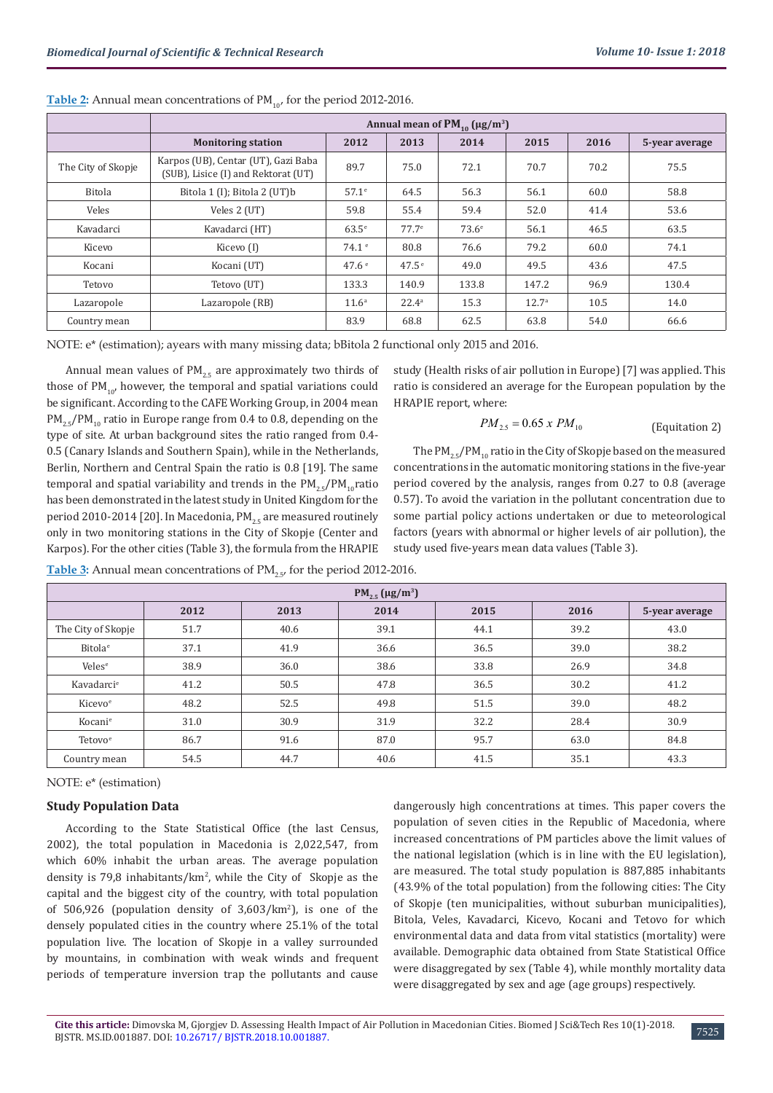|                    | Annual mean of $PM_{10}$ (µg/m <sup>3</sup> )                              |                   |                   |              |                   |      |                |  |  |  |  |
|--------------------|----------------------------------------------------------------------------|-------------------|-------------------|--------------|-------------------|------|----------------|--|--|--|--|
|                    | <b>Monitoring station</b>                                                  | 2012              | 2013              | 2014         | 2015              | 2016 | 5-year average |  |  |  |  |
| The City of Skopje | Karpos (UB), Centar (UT), Gazi Baba<br>(SUB), Lisice (I) and Rektorat (UT) | 89.7              | 75.0              | 72.1         | 70.7              | 70.2 | 75.5           |  |  |  |  |
| Bitola             | Bitola 1 (I); Bitola 2 (UT)b                                               | $57.1^\circ$      | 64.5              | 56.3         | 56.1              | 60.0 | 58.8           |  |  |  |  |
| Veles              | Veles 2 (UT)                                                               | 59.8              | 55.4              | 59.4         | 52.0              | 41.4 | 53.6           |  |  |  |  |
| Kavadarci          | Kavadarci (HT)                                                             | $63.5^{\circ}$    | 77.7 <sup>e</sup> | $73.6^\circ$ | 56.1              | 46.5 | 63.5           |  |  |  |  |
| Kicevo             | Kicevo (I)                                                                 | 74.1 <sup>e</sup> | 80.8              | 76.6         | 79.2              | 60.0 | 74.1           |  |  |  |  |
| Kocani             | Kocani (UT)                                                                | 47.6 <sup>e</sup> | 47.5 <sup>e</sup> | 49.0         | 49.5              | 43.6 | 47.5           |  |  |  |  |
| Tetovo             | Tetovo (UT)                                                                | 133.3             | 140.9             | 133.8        | 147.2             | 96.9 | 130.4          |  |  |  |  |
| Lazaropole         | Lazaropole (RB)                                                            | 11.6 <sup>a</sup> | $22.4^{\circ}$    | 15.3         | 12.7 <sup>a</sup> | 10.5 | 14.0           |  |  |  |  |
| Country mean       |                                                                            | 83.9              | 68.8              | 62.5         | 63.8              | 54.0 | 66.6           |  |  |  |  |

**Table 2:** Annual mean concentrations of PM<sub>10</sub> for the period 2012-2016.

NOTE: е\* (estimation); ayears with many missing data; bBitola 2 functional only 2015 and 2016.

Annual mean values of  $PM_{2.5}$  are approximately two thirds of those of  $PM_{10}$ , however, the temporal and spatial variations could be significant. According to the CAFE Working Group, in 2004 mean  $PM_{25}/PM_{10}$  ratio in Europe range from 0.4 to 0.8, depending on the type of site. At urban background sites the ratio ranged from 0.4- 0.5 (Canary Islands and Southern Spain), while in the Netherlands, Berlin, Northern and Central Spain the ratio is 0.8 [19]. The same temporal and spatial variability and trends in the  $PM_{25}/PM_{10}$ ratio has been demonstrated in the latest study in United Kingdom for the period 2010-2014 [20]. In Macedonia, PM<sub>25</sub> are measured routinely only in two monitoring stations in the City of Skopje (Center and Karpos). For the other cities (Table 3), the formula from the HRAPIE

study (Health risks of air pollution in Europe) [7] was applied. This ratio is considered an average for the European population by the HRAPIE report, where:

$$
PM_{2.5} = 0.65 \times PM_{10}
$$
 (Equitation 2)

The  $PM_{25}/PM_{10}$  ratio in the City of Skopje based on the measured concentrations in the automatic monitoring stations in the five-year period covered by the analysis, ranges from 0.27 to 0.8 (average 0.57). To avoid the variation in the pollutant concentration due to some partial policy actions undertaken or due to meteorological factors (years with abnormal or higher levels of air pollution), the study used five-years mean data values (Table 3).

| $PM_{2.5}$ (µg/m <sup>3</sup> )                        |      |      |      |      |      |      |  |  |  |  |  |  |
|--------------------------------------------------------|------|------|------|------|------|------|--|--|--|--|--|--|
| 2012<br>2015<br>2016<br>2013<br>2014<br>5-year average |      |      |      |      |      |      |  |  |  |  |  |  |
| The City of Skopje                                     | 51.7 | 40.6 | 39.1 | 44.1 | 39.2 | 43.0 |  |  |  |  |  |  |
| Bitola <sup>e</sup>                                    | 37.1 | 41.9 | 36.6 | 36.5 | 39.0 | 38.2 |  |  |  |  |  |  |
| Veles <sup>e</sup>                                     | 38.9 | 36.0 | 38.6 | 33.8 | 26.9 | 34.8 |  |  |  |  |  |  |
| Kavadarci <sup>e</sup>                                 | 41.2 | 50.5 | 47.8 | 36.5 | 30.2 | 41.2 |  |  |  |  |  |  |
| Kicevo <sup>e</sup>                                    | 48.2 | 52.5 | 49.8 | 51.5 | 39.0 | 48.2 |  |  |  |  |  |  |
| Kocani <sup>e</sup>                                    | 31.0 | 30.9 | 31.9 | 32.2 | 28.4 | 30.9 |  |  |  |  |  |  |
| Tetovo <sup>e</sup>                                    | 86.7 | 91.6 | 87.0 | 95.7 | 63.0 | 84.8 |  |  |  |  |  |  |
| Country mean                                           | 54.5 | 44.7 | 40.6 | 41.5 | 35.1 | 43.3 |  |  |  |  |  |  |

**Table 3:** Annual mean concentrations of PM<sub>2.5</sub>, for the period 2012-2016.

NOTE: е\* (estimation)

## **Study Population Data**

According to the State Statistical Office (the last Census, 2002), the total population in Macedonia is 2,022,547, from which 60% inhabit the urban areas. The average population density is 79,8 inhabitants/ $km^2$ , while the City of Skopje as the capital and the biggest city of the country, with total population of  $506,926$  (population density of  $3,603/km<sup>2</sup>$ ), is one of the densely populated cities in the country where 25.1% of the total population live. The location of Skopje in a valley surrounded by mountains, in combination with weak winds and frequent periods of temperature inversion trap the pollutants and cause

dangerously high concentrations at times. This paper covers the population of seven cities in the Republic of Macedonia, where increased concentrations of PM particles above the limit values of the national legislation (which is in line with the EU legislation), are measured. The total study population is 887,885 inhabitants (43.9% of the total population) from the following cities: The City of Skopje (ten municipalities, without suburban municipalities), Bitola, Veles, Kavadarci, Kicevo, Kocani and Tetovo for which environmental data and data from vital statistics (mortality) were available. Demographic data obtained from State Statistical Office were disaggregated by sex (Table 4), while monthly mortality data were disaggregated by sex and age (age groups) respectively.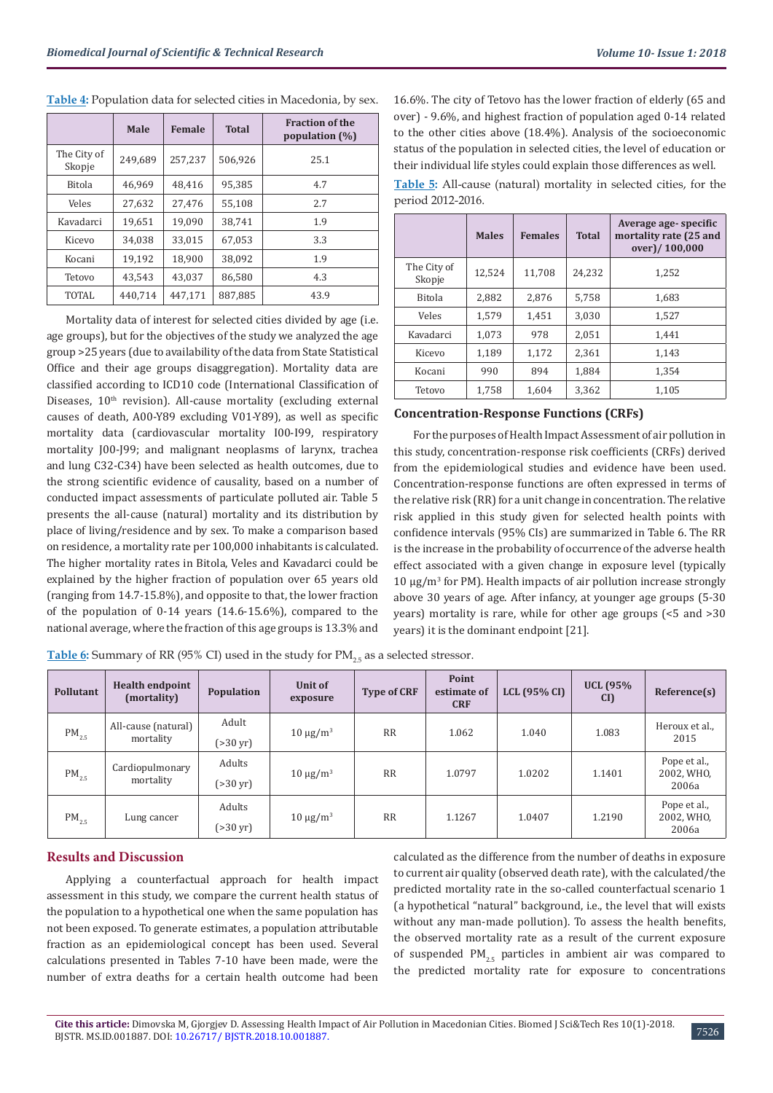|                       | Male    | Female  | <b>Total</b> | <b>Fraction of the</b><br>population $(\%)$ |
|-----------------------|---------|---------|--------------|---------------------------------------------|
| The City of<br>Skopje | 249,689 | 257,237 | 506,926      | 25.1                                        |
| <b>Bitola</b>         | 46.969  | 48.416  | 95.385       | 4.7                                         |
| Veles                 | 27,632  | 27,476  | 55,108       | 2.7                                         |
| Kavadarci             | 19,651  | 19.090  | 38,741       | 1.9                                         |
| Kicevo                | 34.038  | 33.015  | 67.053       | 3.3                                         |
| Kocani                | 19,192  | 18,900  | 38,092       | 1.9                                         |
| Tetovo                | 43.543  | 43.037  | 86,580       | 4.3                                         |
| TOTAL                 | 440,714 | 447,171 | 887,885      | 43.9                                        |

**Table 4:** Population data for selected cities in Macedonia, by sex.

Mortality data of interest for selected cities divided by age (i.e. age groups), but for the objectives of the study we analyzed the age group >25 years (due to availability of the data from State Statistical Office and their age groups disaggregation). Mortality data are classified according to ICD10 code (International Classification of Diseases, 10<sup>th</sup> revision). All-cause mortality (excluding external causes of death, A00-Y89 excluding V01-Y89), as well as specific mortality data (cardiovascular mortality I00-I99, respiratory mortality J00-J99; and malignant neoplasms of larynx, trachea and lung C32-C34) have been selected as health outcomes, due to the strong scientific evidence of causality, based on a number of conducted impact assessments of particulate polluted air. Table 5 presents the all-cause (natural) mortality and its distribution by place of living/residence and by sex. To make a comparison based on residence, a mortality rate per 100,000 inhabitants is calculated. The higher mortality rates in Bitola, Veles and Kavadarci could be explained by the higher fraction of population over 65 years old (ranging from 14.7-15.8%), and opposite to that, the lower fraction of the population of 0-14 years (14.6-15.6%), compared to the national average, where the fraction of this age groups is 13.3% and

16.6%. The city of Tetovo has the lower fraction of elderly (65 and over) - 9.6%, and highest fraction of population aged 0-14 related to the other cities above (18.4%). Analysis of the socioeconomic status of the population in selected cities, the level of education or their individual life styles could explain those differences as well.

**Table 5:** All-cause (natural) mortality in selected cities, for the period 2012-2016.

|                       | <b>Males</b> | <b>Females</b> | <b>Total</b> | Average age-specific<br>mortality rate (25 and<br>over)/100,000 |
|-----------------------|--------------|----------------|--------------|-----------------------------------------------------------------|
| The City of<br>Skopje | 12,524       | 11,708         | 24,232       | 1,252                                                           |
| <b>Bitola</b>         | 2.882        | 2.876          | 5,758        | 1,683                                                           |
| Veles                 | 1.579        | 1,451          | 3,030        | 1,527                                                           |
| Kavadarci             | 1,073        | 978            | 2.051        | 1,441                                                           |
| Kicevo                | 1.189        | 1,172          | 2,361        | 1,143                                                           |
| Kocani                | 990          | 894            | 1,884        | 1,354                                                           |
| Tetovo                | 1,758        | 1.604          | 3,362        | 1,105                                                           |

## **Concentration-Response Functions (CRFs)**

For the purposes of Health Impact Assessment of air pollution in this study, concentration-response risk coefficients (CRFs) derived from the epidemiological studies and evidence have been used. Concentration-response functions are often expressed in terms of the relative risk (RR) for a unit change in concentration. The relative risk applied in this study given for selected health points with confidence intervals (95% CIs) are summarized in Table 6. The RR is the increase in the probability of occurrence of the adverse health effect associated with a given change in exposure level (typically 10 µg/m<sup>3</sup> for PM). Health impacts of air pollution increase strongly above 30 years of age. After infancy, at younger age groups (5-30 years) mortality is rare, while for other age groups (<5 and >30 years) it is the dominant endpoint [21].

**Table 6:** Summary of RR (95% CI) used in the study for PM<sub>2.5</sub> as a selected stressor.

| Pollutant  | <b>Health endpoint</b><br>(mortality) | Population                     | Unit of<br>exposure | <b>Type of CRF</b> | Point<br>estimate of<br><b>CRF</b> | LCL $(95\%$ CI) | <b>UCL (95%</b><br>CI) | Reference(s)                        |
|------------|---------------------------------------|--------------------------------|---------------------|--------------------|------------------------------------|-----------------|------------------------|-------------------------------------|
| $PM_{2.5}$ | All-cause (natural)<br>mortality      | Adult<br>$( > 30 \text{ yr})$  | $10 \mu g/m^3$      | <b>RR</b>          | 1.062                              | 1.040           | 1.083                  | Heroux et al.,<br>2015              |
| $PM_{2.5}$ | Cardiopulmonary<br>mortality          | Adults<br>$( > 30 \text{ yr})$ | $10 \mu g/m^3$      | <b>RR</b>          | 1.0797                             | 1.0202          | 1.1401                 | Pope et al.,<br>2002, WHO,<br>2006a |
| $PM_{2.5}$ | Lung cancer                           | Adults<br>$( > 30 \text{ yr})$ | $10 \mu g/m^3$      | <b>RR</b>          | 1.1267                             | 1.0407          | 1.2190                 | Pope et al.,<br>2002, WHO,<br>2006a |

## **Results and Discussion**

Applying a counterfactual approach for health impact assessment in this study, we compare the current health status of the population to a hypothetical one when the same population has not been exposed. To generate estimates, a population attributable fraction as an epidemiological concept has been used. Several calculations presented in Tables 7-10 have been made, were the number of extra deaths for a certain health outcome had been

calculated as the difference from the number of deaths in exposure to current air quality (observed death rate), with the calculated/the predicted mortality rate in the so-called counterfactual scenario 1 (a hypothetical "natural" background, i.e., the level that will exists without any man-made pollution). To assess the health benefits, the observed mortality rate as a result of the current exposure of suspended  $PM_{25}$  particles in ambient air was compared to the predicted mortality rate for exposure to concentrations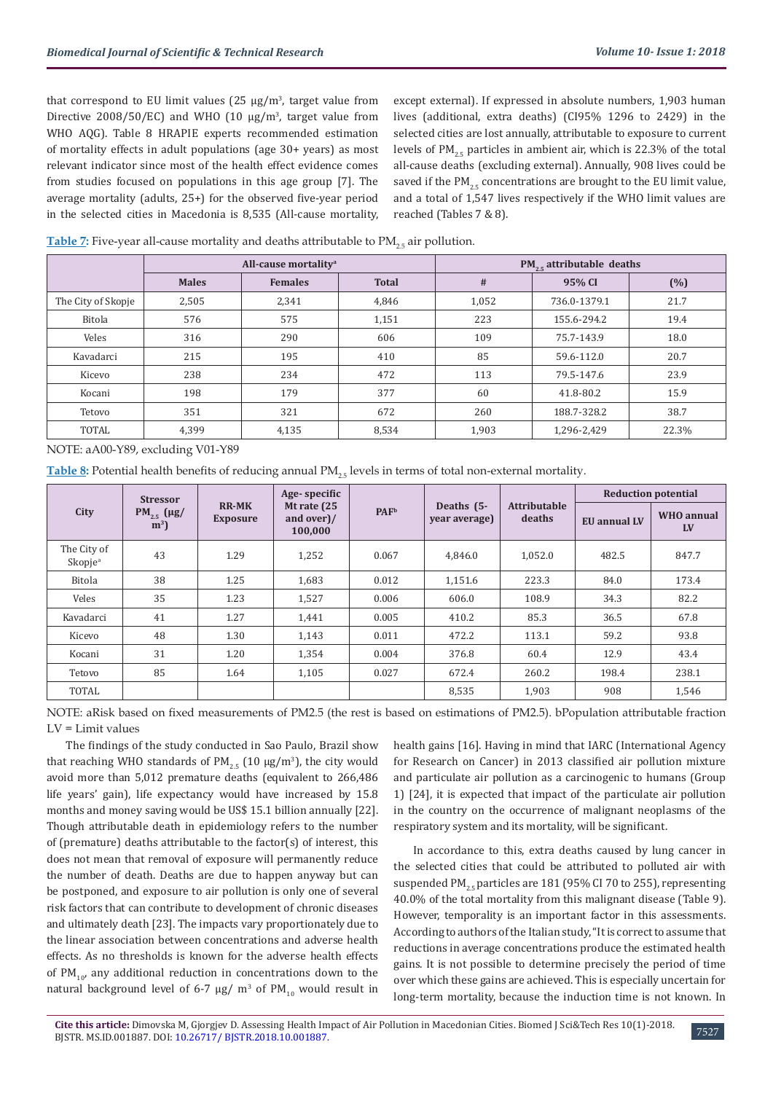that correspond to EU limit values (25  $\mu$ g/m<sup>3</sup>, target value from Directive  $2008/50/EC$ ) and WHO (10  $\mu$ g/m<sup>3</sup>, target value from WHO AQG). Table 8 HRAPIE experts recommended estimation of mortality effects in adult populations (age 30+ years) as most relevant indicator since most of the health effect evidence comes from studies focused on populations in this age group [7]. The average mortality (adults, 25+) for the observed five-year period in the selected cities in Macedonia is 8,535 (All-cause mortality,

except external). If expressed in absolute numbers, 1,903 human lives (additional, extra deaths) (CI95% 1296 to 2429) in the selected cities are lost annually, attributable to exposure to current levels of  $PM_{25}$  particles in ambient air, which is 22.3% of the total all-cause deaths (excluding external). Annually, 908 lives could be saved if the PM<sub>2.5</sub> concentrations are brought to the EU limit value, and a total of 1,547 lives respectively if the WHO limit values are reached (Tables 7 & 8).

**Table 7:** Five-year all-cause mortality and deaths attributable to PM<sub>25</sub> air pollution.

|                    |              | All-cause mortality <sup>a</sup> |              |       | $PM_{2x}$ attributable deaths |       |
|--------------------|--------------|----------------------------------|--------------|-------|-------------------------------|-------|
|                    | <b>Males</b> | <b>Females</b>                   | <b>Total</b> | #     | 95% CI                        | (% )  |
| The City of Skopje | 2.505        | 2,341                            | 4,846        | 1,052 | 736.0-1379.1                  | 21.7  |
| Bitola             | 576          | 575                              | 1,151        | 223   | 155.6-294.2                   | 19.4  |
| Veles              | 316          | 290                              | 606          | 109   | 75.7-143.9                    | 18.0  |
| Kavadarci          | 215          | 195                              | 410          | 85    | 59.6-112.0                    | 20.7  |
| Kicevo             | 238          | 234                              | 472          | 113   | 79.5-147.6                    | 23.9  |
| Kocani             | 198          | 179                              | 377          | 60    | 41.8-80.2                     | 15.9  |
| Tetovo             | 351          | 321                              | 672          | 260   | 188.7-328.2                   | 38.7  |
| <b>TOTAL</b>       | 4,399        | 4,135                            | 8,534        | 1,903 | 1,296-2,429                   | 22.3% |

NOTE: aA00-Y89, excluding V01-Y89

Table 8: Potential health benefits of reducing annual PM<sub>25</sub> levels in terms of total non-external mortality.

|                                    | <b>Stressor</b>                   |                                 | Age-specific                                                                  |       |               |                               | <b>Reduction potential</b> |                         |
|------------------------------------|-----------------------------------|---------------------------------|-------------------------------------------------------------------------------|-------|---------------|-------------------------------|----------------------------|-------------------------|
| City                               | $PM_{2.5}$ (µg/<br>m <sup>3</sup> | <b>RR-MK</b><br><b>Exposure</b> | Mt rate (25<br>Deaths (5-<br><b>PAF</b> <sup>b</sup><br>and over)/<br>100,000 |       | year average) | <b>Attributable</b><br>deaths | <b>EU</b> annual LV        | <b>WHO</b> annual<br>LV |
| The City of<br>Skopje <sup>a</sup> | 43                                | 1.29                            | 1,252                                                                         | 0.067 | 4,846.0       | 1,052.0                       | 482.5                      | 847.7                   |
| Bitola                             | 38                                | 1.25                            | 1,683                                                                         | 0.012 | 1,151.6       | 223.3                         | 84.0                       | 173.4                   |
| Veles                              | 35                                | 1.23                            | 1,527                                                                         | 0.006 | 606.0         | 108.9                         | 34.3                       | 82.2                    |
| Kavadarci                          | 41                                | 1.27                            | 1,441                                                                         | 0.005 | 410.2         | 85.3                          | 36.5                       | 67.8                    |
| Kicevo                             | 48                                | 1.30                            | 1,143                                                                         | 0.011 | 472.2         | 113.1                         | 59.2                       | 93.8                    |
| Kocani                             | 31                                | 1.20                            | 1,354                                                                         | 0.004 | 376.8         | 60.4                          | 12.9                       | 43.4                    |
| Tetovo                             | 85                                | 1.64                            | 1,105                                                                         | 0.027 | 672.4         | 260.2                         | 198.4                      | 238.1                   |
| <b>TOTAL</b>                       |                                   |                                 |                                                                               |       | 8,535         | 1,903                         | 908                        | 1,546                   |

NOTE: aRisk based on fixed measurements of PM2.5 (the rest is based on estimations of PM2.5). bPopulation attributable fraction LV = Limit values

The findings of the study conducted in Sao Paulo, Brazil show that reaching WHO standards of  $PM_{2.5}$  (10  $\mu$ g/m<sup>3</sup>), the city would avoid more than 5,012 premature deaths (equivalent to 266,486 life years' gain), life expectancy would have increased by 15.8 months and money saving would be US\$ 15.1 billion annually [22]. Though attributable death in epidemiology refers to the number of (premature) deaths attributable to the factor(s) of interest, this does not mean that removal of exposure will permanently reduce the number of death. Deaths are due to happen anyway but can be postponed, and exposure to air pollution is only one of several risk factors that can contribute to development of chronic diseases and ultimately death [23]. The impacts vary proportionately due to the linear association between concentrations and adverse health effects. As no thresholds is known for the adverse health effects of  $PM_{10}$  any additional reduction in concentrations down to the natural background level of 6-7  $\mu$ g/ m<sup>3</sup> of PM<sub>10</sub> would result in health gains [16]. Having in mind that IARC (International Agency for Research on Cancer) in 2013 classified air pollution mixture and particulate air pollution as a carcinogenic to humans (Group 1) [24], it is expected that impact of the particulate air pollution in the country on the occurrence of malignant neoplasms of the respiratory system and its mortality, will be significant.

In accordance to this, extra deaths caused by lung cancer in the selected cities that could be attributed to polluted air with suspended PM<sub>25</sub> particles are 181 (95% CI 70 to 255), representing 40.0% of the total mortality from this malignant disease (Table 9). However, temporality is an important factor in this assessments. According to authors of the Italian study, "It is correct to assume that reductions in average concentrations produce the estimated health gains. It is not possible to determine precisely the period of time over which these gains are achieved. This is especially uncertain for long-term mortality, because the induction time is not known. In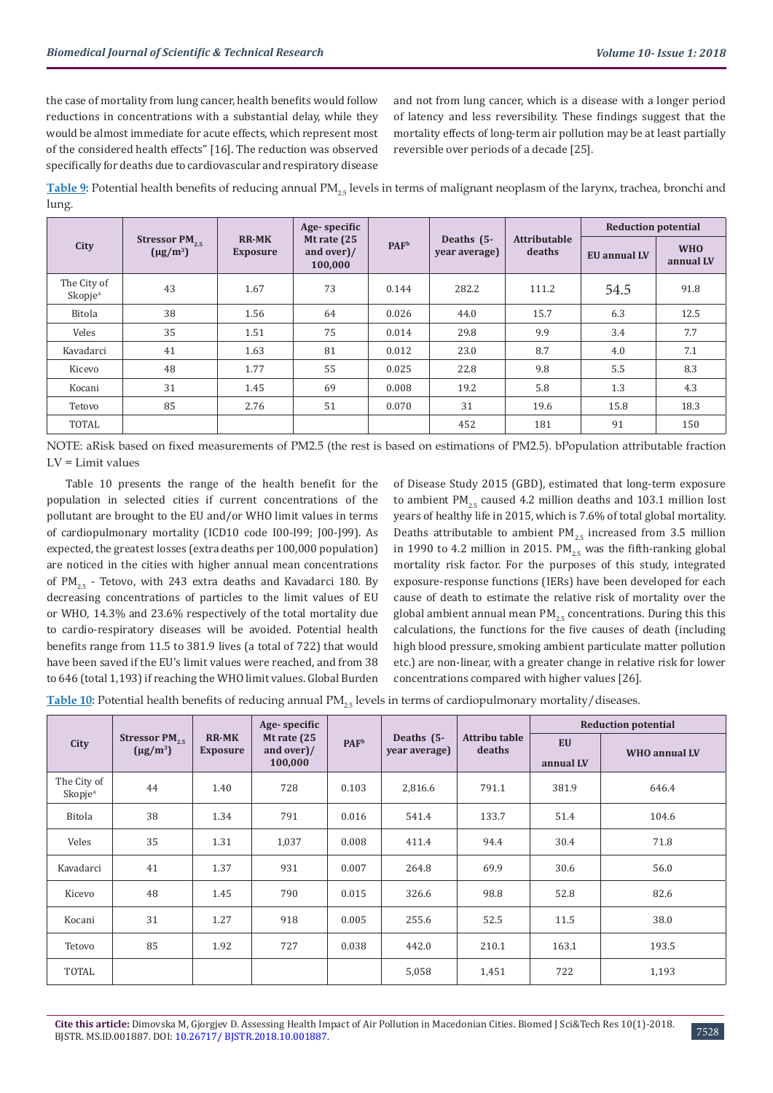the case of mortality from lung cancer, health benefits would follow reductions in concentrations with a substantial delay, while they would be almost immediate for acute effects, which represent most of the considered health effects" [16]. The reduction was observed specifically for deaths due to cardiovascular and respiratory disease and not from lung cancer, which is a disease with a longer period of latency and less reversibility. These findings suggest that the mortality effects of long-term air pollution may be at least partially reversible over periods of a decade [25].

**Table 9:** Potential health benefits of reducing annual PM<sub>25</sub> levels in terms of malignant neoplasm of the larynx, trachea, bronchi and lung.

|                                    |                                            |                                 | Age-specific                         |                         |                             |                               | <b>Reduction potential</b> |                         |
|------------------------------------|--------------------------------------------|---------------------------------|--------------------------------------|-------------------------|-----------------------------|-------------------------------|----------------------------|-------------------------|
| City                               | Stressor PM <sub>25</sub><br>$(\mu g/m^3)$ | <b>RR-MK</b><br><b>Exposure</b> | Mt rate (25<br>and over)/<br>100,000 | <b>PAF</b> <sup>b</sup> | Deaths (5-<br>year average) | <b>Attributable</b><br>deaths | EU annual LV               | <b>WHO</b><br>annual LV |
| The City of<br>Skopje <sup>a</sup> | 43                                         | 1.67                            | 73                                   | 0.144                   | 282.2                       | 111.2                         | 54.5                       | 91.8                    |
| Bitola                             | 38                                         | 1.56                            | 64                                   | 0.026                   | 44.0                        | 15.7                          | 6.3                        | 12.5                    |
| Veles                              | 35                                         | 1.51                            | 75                                   | 0.014                   | 29.8                        | 9.9                           | 3.4                        | 7.7                     |
| Kavadarci                          | 41                                         | 1.63                            | 81                                   | 0.012                   | 23.0                        | 8.7                           | 4.0                        | 7.1                     |
| Kicevo                             | 48                                         | 1.77                            | 55                                   | 0.025                   | 22.8                        | 9.8                           | 5.5                        | 8.3                     |
| Kocani                             | 31                                         | 1.45                            | 69                                   | 0.008                   | 19.2                        | 5.8                           | 1.3                        | 4.3                     |
| Tetovo                             | 85                                         | 2.76                            | 51                                   | 0.070                   | 31                          | 19.6                          | 15.8                       | 18.3                    |
| <b>TOTAL</b>                       |                                            |                                 |                                      |                         | 452                         | 181                           | 91                         | 150                     |

NOTE: aRisk based on fixed measurements of PM2.5 (the rest is based on estimations of PM2.5). bPopulation attributable fraction LV = Limit values

Table 10 presents the range of the health benefit for the population in selected cities if current concentrations of the pollutant are brought to the EU and/or WHO limit values in terms of cardiopulmonary mortality (ICD10 code I00-I99; J00-J99). As expected, the greatest losses (extra deaths per 100,000 population) are noticed in the cities with higher annual mean concentrations of PM<sub>2.5</sub> - Tetovo, with 243 extra deaths and Kavadarci 180. By decreasing concentrations of particles to the limit values of EU or WHO, 14.3% and 23.6% respectively of the total mortality due to cardio-respiratory diseases will be avoided. Potential health benefits range from 11.5 to 381.9 lives (a total of 722) that would have been saved if the EU's limit values were reached, and from 38 to 646 (total 1,193) if reaching the WHO limit values. Global Burden of Disease Study 2015 (GBD), estimated that long-term exposure to ambient  $PM_{25}$  caused 4.2 million deaths and 103.1 million lost years of healthy life in 2015, which is 7.6% of total global mortality. Deaths attributable to ambient  $PM_{25}$  increased from 3.5 million in 1990 to 4.2 million in 2015. PM<sub>25</sub> was the fifth-ranking global mortality risk factor. For the purposes of this study, integrated exposure-response functions (IERs) have been developed for each cause of death to estimate the relative risk of mortality over the global ambient annual mean  $PM_{25}$  concentrations. During this this calculations, the functions for the five causes of death (including high blood pressure, smoking ambient particulate matter pollution etc.) are non-linear, with a greater change in relative risk for lower concentrations compared with higher values [26].

**Table 10:** Potential health benefits of reducing annual PM<sub>25</sub> levels in terms of cardiopulmonary mortality/diseases.

|                                    |                                            |                                 | Age-specific                                                       |       |                               |                         | <b>Reduction potential</b> |                      |  |
|------------------------------------|--------------------------------------------|---------------------------------|--------------------------------------------------------------------|-------|-------------------------------|-------------------------|----------------------------|----------------------|--|
| City                               | Stressor PM <sub>25</sub><br>$(\mu g/m^3)$ | <b>RR-MK</b><br><b>Exposure</b> | Mt rate $(25)$<br><b>PAF</b> <sup>b</sup><br>and over)/<br>100,000 |       | Deaths $(5-$<br>year average) | Attribu table<br>deaths | <b>EU</b><br>annual LV     | <b>WHO</b> annual LV |  |
| The City of<br>Skopie <sup>a</sup> | 44                                         | 1.40                            | 728                                                                | 0.103 | 2,816.6                       | 791.1                   | 381.9                      | 646.4                |  |
| Bitola                             | 38                                         | 1.34                            | 791                                                                | 0.016 | 541.4                         | 133.7                   | 51.4                       | 104.6                |  |
| Veles                              | 35                                         | 1.31                            | 1,037                                                              | 0.008 | 411.4                         | 94.4                    | 30.4                       | 71.8                 |  |
| Kavadarci                          | 41                                         | 1.37                            | 931                                                                | 0.007 | 264.8                         | 69.9                    | 30.6                       | 56.0                 |  |
| Kicevo                             | 48                                         | 1.45                            | 790                                                                | 0.015 | 326.6                         | 98.8                    | 52.8                       | 82.6                 |  |
| Kocani                             | 31                                         | 1.27                            | 918                                                                | 0.005 | 255.6                         | 52.5                    | 11.5                       | 38.0                 |  |
| Tetovo                             | 85                                         | 1.92                            | 727                                                                | 0.038 | 442.0                         | 210.1                   | 163.1                      | 193.5                |  |
| <b>TOTAL</b>                       |                                            |                                 |                                                                    |       | 5,058                         | 1,451                   | 722                        | 1,193                |  |

**Cite this article:** Dimovska M, Gjorgjev D. Assessing Health Impact of Air Pollution in Macedonian Cities. Biomed J Sci&Tech Res 10(1)-2018. 818 Che this at title: Diffuorska M, ujorgjev D. Assessing Heath Hipact of All Fondtion in Matedonian Cities. Diomed J Scketch Res 10(1)-2016.<br>BJSTR. MS.ID.001887. DOI: [10.26717/ BJSTR.2018.10.001887](http://dx.doi.org/10.26717/BJSTR.2018.10.001887).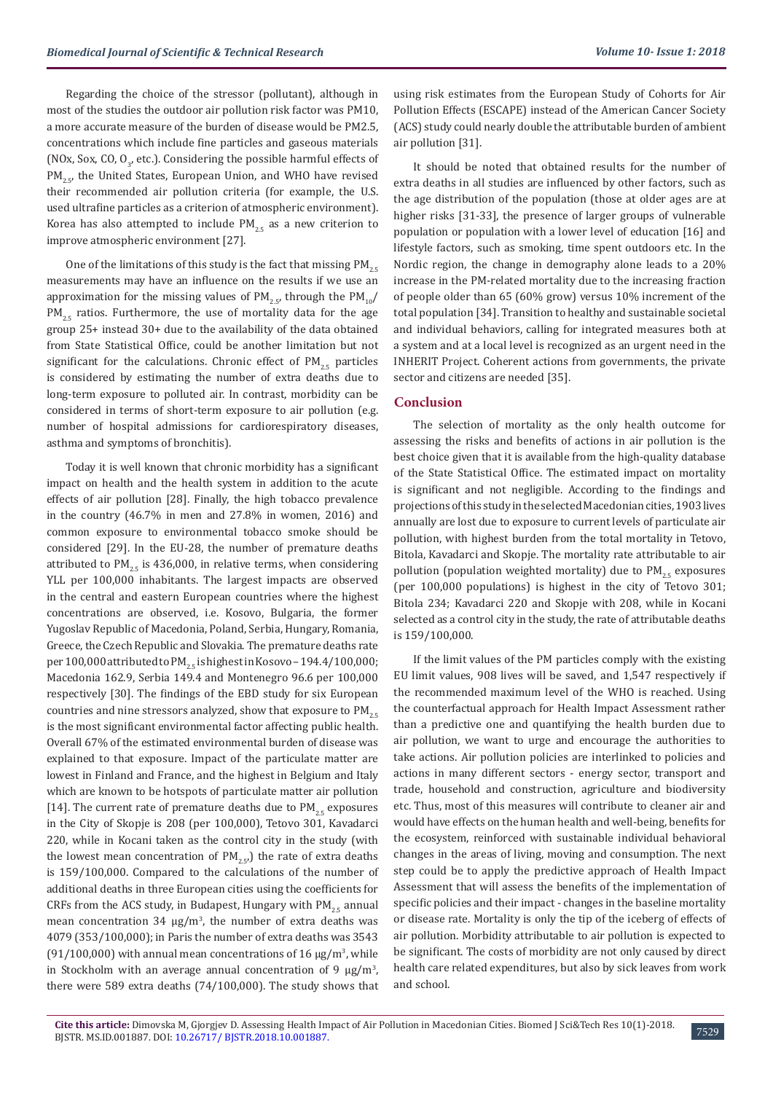Regarding the choice of the stressor (pollutant), although in most of the studies the outdoor air pollution risk factor was PM10, a more accurate measure of the burden of disease would be PM2.5, concentrations which include fine particles and gaseous materials (NOx, Sox, CO,  $O_{3'}$ , etc.). Considering the possible harmful effects of  $PM_{25}$ , the United States, European Union, and WHO have revised their recommended air pollution criteria (for example, the U.S. used ultrafine particles as a criterion of atmospheric environment). Korea has also attempted to include  $PM_{25}$  as a new criterion to improve atmospheric environment [27].

One of the limitations of this study is the fact that missing  $PM_{2.5}$ measurements may have an influence on the results if we use an approximation for the missing values of  $PM_{2.5}$ , through the  $PM_{10}/$  $PM_{2.5}$  ratios. Furthermore, the use of mortality data for the age group 25+ instead 30+ due to the availability of the data obtained from State Statistical Office, could be another limitation but not significant for the calculations. Chronic effect of  $PM_{2.5}$  particles is considered by estimating the number of extra deaths due to long-term exposure to polluted air. In contrast, morbidity can be considered in terms of short-term exposure to air pollution (e.g. number of hospital admissions for cardiorespiratory diseases, asthma and symptoms of bronchitis).

Today it is well known that chronic morbidity has a significant impact on health and the health system in addition to the acute effects of air pollution [28]. Finally, the high tobacco prevalence in the country (46.7% in men and 27.8% in women, 2016) and common exposure to environmental tobacco smoke should be considered [29]. In the EU-28, the number of premature deaths attributed to PM<sub>2.5</sub> is 436,000, in relative terms, when considering YLL per 100,000 inhabitants. The largest impacts are observed in the central and eastern European countries where the highest concentrations are observed, i.e. Kosovo, Bulgaria, the former Yugoslav Republic of Macedonia, Poland, Serbia, Hungary, Romania, Greece, the Czech Republic and Slovakia. The premature deaths rate per 100,000 attributed to PM<sub>2.5</sub> is highest in Kosovo – 194.4/100,000; Macedonia 162.9, Serbia 149.4 and Montenegro 96.6 per 100,000 respectively [30]. The findings of the EBD study for six European countries and nine stressors analyzed, show that exposure to  $PM_{2.5}$ is the most significant environmental factor affecting public health. Overall 67% of the estimated environmental burden of disease was explained to that exposure. Impact of the particulate matter are lowest in Finland and France, and the highest in Belgium and Italy which are known to be hotspots of particulate matter air pollution [14]. The current rate of premature deaths due to  $PM_{25}$  exposures in the City of Skopje is 208 (per 100,000), Tetovo 301, Kavadarci 220, while in Kocani taken as the control city in the study (with the lowest mean concentration of  $PM_{25}$ , the rate of extra deaths is 159/100,000. Compared to the calculations of the number of additional deaths in three European cities using the coefficients for CRFs from the ACS study, in Budapest, Hungary with  $PM_{25}$  annual mean concentration  $34 \mu g/m^3$ , the number of extra deaths was 4079 (353/100,000); in Paris the number of extra deaths was 3543  $(91/100,000)$  with annual mean concentrations of 16  $\mu$ g/m<sup>3</sup>, while in Stockholm with an average annual concentration of 9  $\mu$ g/m<sup>3</sup>, there were 589 extra deaths (74/100,000). The study shows that

using risk estimates from the European Study of Cohorts for Air Pollution Effects (ESCAPE) instead of the American Cancer Society (ACS) study could nearly double the attributable burden of ambient air pollution [31].

It should be noted that obtained results for the number of extra deaths in all studies are influenced by other factors, such as the age distribution of the population (those at older ages are at higher risks [31-33], the presence of larger groups of vulnerable population or population with a lower level of education [16] and lifestyle factors, such as smoking, time spent outdoors etc. In the Nordic region, the change in demography alone leads to a 20% increase in the PM-related mortality due to the increasing fraction of people older than 65 (60% grow) versus 10% increment of the total population [34]. Transition to healthy and sustainable societal and individual behaviors, calling for integrated measures both at a system and at a local level is recognized as an urgent need in the INHERIT Project. Coherent actions from governments, the private sector and citizens are needed [35].

#### **Conclusion**

The selection of mortality as the only health outcome for assessing the risks and benefits of actions in air pollution is the best choice given that it is available from the high-quality database of the State Statistical Office. The estimated impact on mortality is significant and not negligible. According to the findings and projections of this study in the selected Macedonian cities, 1903 lives annually are lost due to exposure to current levels of particulate air pollution, with highest burden from the total mortality in Tetovo, Bitola, Kavadarci and Skopje. The mortality rate attributable to air pollution (population weighted mortality) due to  $PM_{25}$  exposures (per 100,000 populations) is highest in the city of Tetovo 301; Bitola 234; Kavadarci 220 and Skopje with 208, while in Kocani selected as a control city in the study, the rate of attributable deaths is 159/100,000.

If the limit values of the PM particles comply with the existing EU limit values, 908 lives will be saved, and 1,547 respectively if the recommended maximum level of the WHO is reached. Using the counterfactual approach for Health Impact Assessment rather than a predictive one and quantifying the health burden due to air pollution, we want to urge and encourage the authorities to take actions. Air pollution policies are interlinked to policies and actions in many different sectors - energy sector, transport and trade, household and construction, agriculture and biodiversity etc. Thus, most of this measures will contribute to cleaner air and would have effects on the human health and well-being, benefits for the ecosystem, reinforced with sustainable individual behavioral changes in the areas of living, moving and consumption. The next step could be to apply the predictive approach of Health Impact Assessment that will assess the benefits of the implementation of specific policies and their impact - changes in the baseline mortality or disease rate. Mortality is only the tip of the iceberg of effects of air pollution. Morbidity attributable to air pollution is expected to be significant. The costs of morbidity are not only caused by direct health care related expenditures, but also by sick leaves from work and school.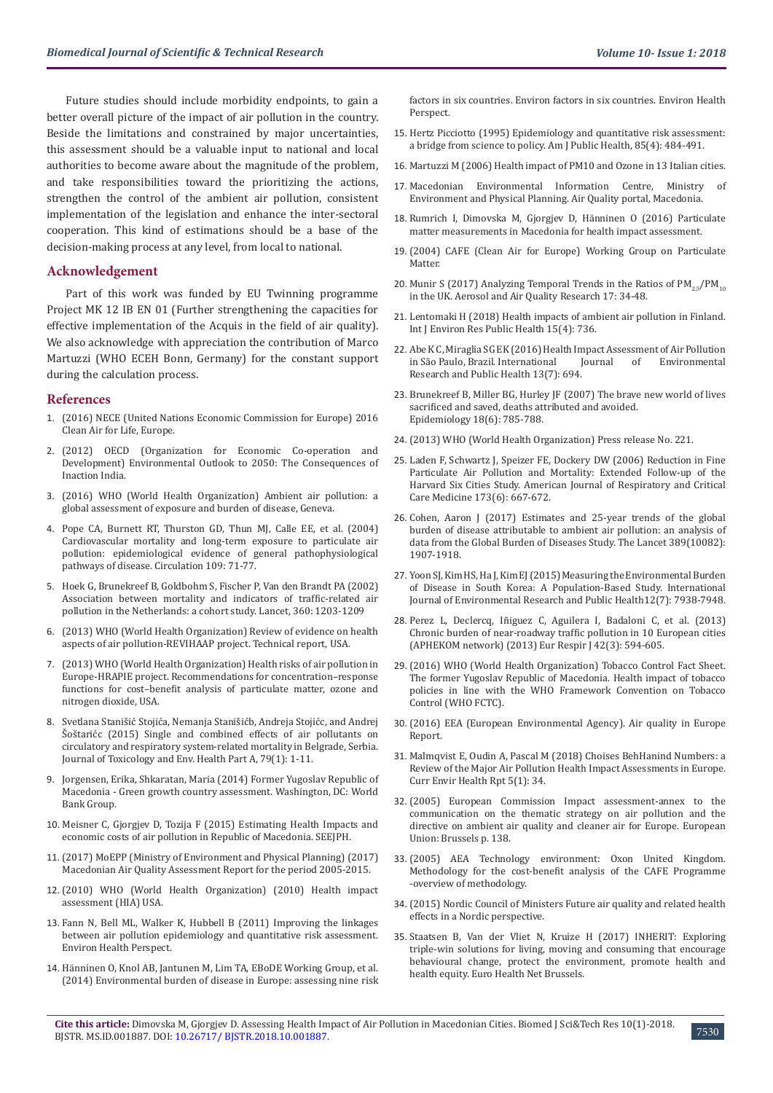Future studies should include morbidity endpoints, to gain a better overall picture of the impact of air pollution in the country. Beside the limitations and constrained by major uncertainties, this assessment should be a valuable input to national and local authorities to become aware about the magnitude of the problem, and take responsibilities toward the prioritizing the actions, strengthen the control of the ambient air pollution, consistent implementation of the legislation and enhance the inter-sectoral cooperation. This kind of estimations should be a base of the decision-making process at any level, from local to national.

#### **Acknowledgement**

Part of this work was funded by EU Twinning programme Project MK 12 IB EN 01 (Further strengthening the capacities for effective implementation of the Acquis in the field of air quality). We also acknowledge with appreciation the contribution of Marco Martuzzi (WHO ECEH Bonn, Germany) for the constant support during the calculation process.

#### **References**

- 1. [\(2016\) NECE \(United Nations Economic Commission for Europe\) 2016](https://www.unece.org/mission.html)  [Clean Air for Life, Europe.](https://www.unece.org/mission.html)
- 2. [\(2012\) OECD \(Organization for Economic Co-operation and](http://www.oecd.org/env/indicators-modelling-outlooks/oecd-environmental-outlook-1999155x.htm)  [Development\) Environmental Outlook to 2050: The Consequences of](http://www.oecd.org/env/indicators-modelling-outlooks/oecd-environmental-outlook-1999155x.htm)  [Inaction India.](http://www.oecd.org/env/indicators-modelling-outlooks/oecd-environmental-outlook-1999155x.htm)
- 3. [\(2016\) WHO \(World Health Organization\) Ambient air pollution: a](http://www.who.int/phe/publications/air-pollution-global-assessment/en/)  [global assessment of exposure and burden of disease, Geneva.](http://www.who.int/phe/publications/air-pollution-global-assessment/en/)
- 4. [Pope CA, Burnett RT, Thurston GD, Thun MJ, Calle EE, et al. \(2004\)](https://www.ncbi.nlm.nih.gov/pubmed/14676145)  [Cardiovascular mortality and long-term exposure to particulate air](https://www.ncbi.nlm.nih.gov/pubmed/14676145)  [pollution: epidemiological evidence of general pathophysiological](https://www.ncbi.nlm.nih.gov/pubmed/14676145)  [pathways of disease. Circulation 109: 71-77.](https://www.ncbi.nlm.nih.gov/pubmed/14676145)
- 5. [Hoek G, Brunekreef B, Goldbohm S, Fischer P, Van den Brandt PA \(2002\)](https://www.ncbi.nlm.nih.gov/pubmed/12401246)  [Association between mortality and indicators of traffic-related air](https://www.ncbi.nlm.nih.gov/pubmed/12401246)  [pollution in the Netherlands: a cohort study. Lancet, 360: 1203-1209](https://www.ncbi.nlm.nih.gov/pubmed/12401246)
- 6. [\(2013\) WHO \(World Health Organization\) Review of evidence on health](http://www.euro.who.int/en/health-topics/environment-and-health/air-quality/publications/2013/review-of-evidence-on-health-aspects-of-air-pollution-revihaap-project-final-technical-report)  [aspects of air pollution-REVIHAAP project. Technical report, USA.](http://www.euro.who.int/en/health-topics/environment-and-health/air-quality/publications/2013/review-of-evidence-on-health-aspects-of-air-pollution-revihaap-project-final-technical-report)
- 7. [\(2013\) WHO \(World Health Organization\) Health risks of air pollution in](http://www.euro.who.int/__data/assets/pdf_file/0006/238956/Health_risks_air_pollution_HRAPIE_project.pdf?ua=1)  [Europe-HRAPIE project. Recommendations for concentration–response](http://www.euro.who.int/__data/assets/pdf_file/0006/238956/Health_risks_air_pollution_HRAPIE_project.pdf?ua=1)  [functions for cost–benefit analysis of particulate matter, ozone and](http://www.euro.who.int/__data/assets/pdf_file/0006/238956/Health_risks_air_pollution_HRAPIE_project.pdf?ua=1)  [nitrogen dioxide, USA.](http://www.euro.who.int/__data/assets/pdf_file/0006/238956/Health_risks_air_pollution_HRAPIE_project.pdf?ua=1)
- 8. [Svetlana Stanišić Stojića, Nemanja Stanišićb, Andreja Stojićc, and Andrej](https://www.ncbi.nlm.nih.gov/pubmed/26699658)  [Šoštarićc \(2015\) Single and combined effects of air pollutants on](https://www.ncbi.nlm.nih.gov/pubmed/26699658)  [circulatory and respiratory system-related mortality in Belgrade, Serbia.](https://www.ncbi.nlm.nih.gov/pubmed/26699658)  [Journal of Toxicology and Env. Health Part A, 79\(1\): 1-11.](https://www.ncbi.nlm.nih.gov/pubmed/26699658)
- 9. [Jorgensen, Erika, Shkaratan, Maria \(2014\) Former Yugoslav Republic of](http://documents.worldbank.org/curated/en/949621468090285546/Former-Yugoslav-Republic-of-Macedonia-Green-growth-country-assessment)  [Macedonia - Green growth country assessment. Washington, DC: World](http://documents.worldbank.org/curated/en/949621468090285546/Former-Yugoslav-Republic-of-Macedonia-Green-growth-country-assessment)  [Bank Group.](http://documents.worldbank.org/curated/en/949621468090285546/Former-Yugoslav-Republic-of-Macedonia-Green-growth-country-assessment)
- 10. [Meisner C, Gjorgjev D, Tozija F \(2015\) Estimating Health Impacts and](http://www.seejph.com/index.php/seejph/article/view/9)  [economic costs of air pollution in Republic of Macedonia. SEEJPH.](http://www.seejph.com/index.php/seejph/article/view/9)
- 11. [\(2017\) MoEPP \(Ministry of Environment and Physical Planning\) \(2017\)](http://air.moepp.gov.mk/wp-content/uploads/2017/07/AirQualityReport_EN.pdf)  [Macedonian Air Quality Assessment Report for the period 2005-2015.](http://air.moepp.gov.mk/wp-content/uploads/2017/07/AirQualityReport_EN.pdf)
- 12. [\(2010\) WHO \(World Health Organization\) \(2010\) Health impact](https://www.who.int/hia/en/)  [assessment \(HIA\) USA.](https://www.who.int/hia/en/)
- 13. [Fann N, Bell ML, Walker K, Hubbell B \(2011\) Improving the linkages](https://www.ncbi.nlm.nih.gov/pubmed/21816702)  [between air pollution epidemiology and quantitative risk assessment.](https://www.ncbi.nlm.nih.gov/pubmed/21816702)  [Environ Health Perspect.](https://www.ncbi.nlm.nih.gov/pubmed/21816702)
- 14. [Hänninen O, Knol AB, Jantunen M, Lim TA, EBoDE Working Group, et al.](https://www.ncbi.nlm.nih.gov/pubmed/24584099)  [\(2014\) Environmental burden of disease in Europe: assessing nine risk](https://www.ncbi.nlm.nih.gov/pubmed/24584099)

[factors in six countries. Environ factors in six countries. Environ Health](https://www.ncbi.nlm.nih.gov/pubmed/24584099) [Perspect.](https://www.ncbi.nlm.nih.gov/pubmed/24584099)

- 15. [Hertz Picciotto \(1995\) Epidemiology and quantitative risk assessment:](https://www.ncbi.nlm.nih.gov/pmc/articles/PMC1615131/) [a bridge from science to policy. Am J Public Health, 85\(4\): 484-491.](https://www.ncbi.nlm.nih.gov/pmc/articles/PMC1615131/)
- 16. [Martuzzi M \(2006\) Health impact of PM10 and Ozone in 13 Italian cities.](http://www.euro.who.int/__data/assets/pdf_file/0012/91110/E88700.pdf)
- 17. [Macedonian Environmental Information Centre, Ministry of](http://www.moepp.gov.mk/?page_id=1140&lang=en) [Environment and Physical Planning. Air Quality portal, Macedonia.](http://www.moepp.gov.mk/?page_id=1140&lang=en)
- 18. [Rumrich I, Dimovska M, Gjorgjev D, Hänninen O \(2016\) Particulate](https://www.researchgate.net/publication/309742628_Particulate_matter_measurements_in_Macedonia_for_health_impact_assessment) [matter measurements in Macedonia for health impact assessment.](https://www.researchgate.net/publication/309742628_Particulate_matter_measurements_in_Macedonia_for_health_impact_assessment)
- 19. [\(2004\) CAFE \(Clean Air for Europe\) Working Group on Particulate](http://ec.europa.eu/environment/archives/cafe/pdf/working_groups/2nd_position_paper_pm.pdf) [Matter.](http://ec.europa.eu/environment/archives/cafe/pdf/working_groups/2nd_position_paper_pm.pdf)
- 20. Munir S (2017) Analyzing Temporal Trends in the Ratios of  $PM_{25}/PM_{10}$ [in the UK. Aerosol and Air Quality Research 17: 34-48.](http://aaqr.org/files/article/142/4_AAQR-16-02-OA-0081_34-48.pdf)
- 21. [Lentomaki H \(2018\) Health impacts of ambient air pollution in Finland.](https://www.mdpi.com/1660-4601/15/4/736) [Int J Environ Res Public Health 15\(4\): 736.](https://www.mdpi.com/1660-4601/15/4/736)
- 22. [Abe K C, Miraglia SG EK \(2016\) Health Impact Assessment of Air Pollution](https://www.ncbi.nlm.nih.gov/pmc/articles/PMC4962235/) in São Paulo, Brazil. International [Research and Public Health 13\(7\): 694.](https://www.ncbi.nlm.nih.gov/pmc/articles/PMC4962235/)
- 23. [Brunekreef B, Miller BG, Hurley JF \(2007\) The brave new world of lives](https://www.ncbi.nlm.nih.gov/pubmed/18049188) [sacrificed and saved, deaths attributed and avoided.](https://www.ncbi.nlm.nih.gov/pubmed/18049188)  [Epidemiology 18\(6\): 785-788.](https://www.ncbi.nlm.nih.gov/pubmed/18049188)
- 24. [\(2013\) WHO \(World Health Organization\) Press release No. 221.](http://www.euro.who.int/en/health-topics/environment-and-health/air-quality/news/news/2013/10/outdoor-air-pollution-a-leading-environmental-cause-of-cancer-deaths)
- 25. [Laden F, Schwartz J, Speizer FE, Dockery DW \(2006\) Reduction in Fine](https://www.ncbi.nlm.nih.gov/pubmed/16424447) [Particulate Air Pollution and Mortality: Extended Follow-up of the](https://www.ncbi.nlm.nih.gov/pubmed/16424447) [Harvard Six Cities Study. American Journal of Respiratory and Critical](https://www.ncbi.nlm.nih.gov/pubmed/16424447) [Care Medicine 173\(6\): 667-672.](https://www.ncbi.nlm.nih.gov/pubmed/16424447)
- 26. [Cohen, Aaron J \(2017\) Estimates and 25-year trends of the global](https://www.thelancet.com/journals/lancet/article/PIIS0140-6736(17)30505-6/fulltext) [burden of disease attributable to ambient air pollution: an analysis of](https://www.thelancet.com/journals/lancet/article/PIIS0140-6736(17)30505-6/fulltext) [data from the Global Burden of Diseases Study. The Lancet 389\(10082\):](https://www.thelancet.com/journals/lancet/article/PIIS0140-6736(17)30505-6/fulltext) [1907-1918.](https://www.thelancet.com/journals/lancet/article/PIIS0140-6736(17)30505-6/fulltext)
- 27. [Yoon SJ, Kim HS, Ha J, Kim EJ \(2015\) Measuring the Environmental Burden](https://www.ncbi.nlm.nih.gov/pmc/articles/PMC4515701/) [of Disease in South Korea: A Population-Based Study. International](https://www.ncbi.nlm.nih.gov/pmc/articles/PMC4515701/) [Journal of Environmental Research and Public Health12\(7\): 7938-7948.](https://www.ncbi.nlm.nih.gov/pmc/articles/PMC4515701/)
- 28. [Perez L, Declercq, Iñiguez C, Aguilera I, Badaloni C, et al. \(2013\)](https://www.ncbi.nlm.nih.gov/pubmed/23520318) [Chronic burden of near-roadway traffic pollution in 10 European cities](https://www.ncbi.nlm.nih.gov/pubmed/23520318) [\(APHEKOM network\) \(2013\) Eur Respir J 42\(3\): 594-605](https://www.ncbi.nlm.nih.gov/pubmed/23520318).
- 29. [\(2016\) WHO \(World Health Organization\) Tobacco Control Fact Sheet.](http://www.euro.who.int/__data/assets/pdf_file/0011/312599/Tobacco-control-fact-sheet-TFYRofMacedonia.pdf) [The former Yugoslav Republic of Macedonia. Health impact of tobacco](http://www.euro.who.int/__data/assets/pdf_file/0011/312599/Tobacco-control-fact-sheet-TFYRofMacedonia.pdf) [policies in line with the WHO Framework Convention on Tobacco](http://www.euro.who.int/__data/assets/pdf_file/0011/312599/Tobacco-control-fact-sheet-TFYRofMacedonia.pdf) [Control \(WHO FCTC\).](http://www.euro.who.int/__data/assets/pdf_file/0011/312599/Tobacco-control-fact-sheet-TFYRofMacedonia.pdf)
- 30. [\(2016\) EEA \(European Environmental Agency\). Air quality in Europe](https://www.eea.europa.eu/publications/air-quality-in-europe-2017) [Report.](https://www.eea.europa.eu/publications/air-quality-in-europe-2017)
- 31. [Malmqvist E, Oudin A, Pascal M \(2018\) Choises BehHanind Numbers: a](https://www.ncbi.nlm.nih.gov/pubmed/29404862) [Review of the Major Air Pollution Health Impact Assessments in Europe.](https://www.ncbi.nlm.nih.gov/pubmed/29404862) [Curr Envir Health Rpt 5\(1\): 34.](https://www.ncbi.nlm.nih.gov/pubmed/29404862)
- 32. [\(2005\) European Commission Impact assessment-annex to the](https://eur-lex.europa.eu/legal-content/EN/TXT/?uri=celex%3A52005SC1133) [communication on the thematic strategy on air pollution and the](https://eur-lex.europa.eu/legal-content/EN/TXT/?uri=celex%3A52005SC1133) [directive on ambient air quality and cleaner air for Europe. European](https://eur-lex.europa.eu/legal-content/EN/TXT/?uri=celex%3A52005SC1133) [Union: Brussels p. 138.](https://eur-lex.europa.eu/legal-content/EN/TXT/?uri=celex%3A52005SC1133)
- 33. (2005) AEA Technology environment: Oxon United Kingdom. Methodology for the cost-benefit analysis of the CAFE Programme -overview of methodology.
- 34. [\(2015\) Nordic Council of Ministers Future air quality and related health](http://norden.diva-portal.org/smash/get/diva2:897804/FULLTEXT03.pdf) [effects in a Nordic perspective.](http://norden.diva-portal.org/smash/get/diva2:897804/FULLTEXT03.pdf)
- 35. [Staatsen B, Van der Vliet N, Kruize H \(2017\) INHERIT: Exploring](file:///C:/Users/LPWEB-45/Desktop/pending/BJSTR.MS.ID.001887/BJSTR-PUB-18-RA-114_W/v) [triple-win solutions for living, moving and consuming that encourage](file:///C:/Users/LPWEB-45/Desktop/pending/BJSTR.MS.ID.001887/BJSTR-PUB-18-RA-114_W/v) [behavioural change, protect the environment, promote health and](file:///C:/Users/LPWEB-45/Desktop/pending/BJSTR.MS.ID.001887/BJSTR-PUB-18-RA-114_W/v) [health equity. Euro Health Net Brussels.](file:///C:/Users/LPWEB-45/Desktop/pending/BJSTR.MS.ID.001887/BJSTR-PUB-18-RA-114_W/v)